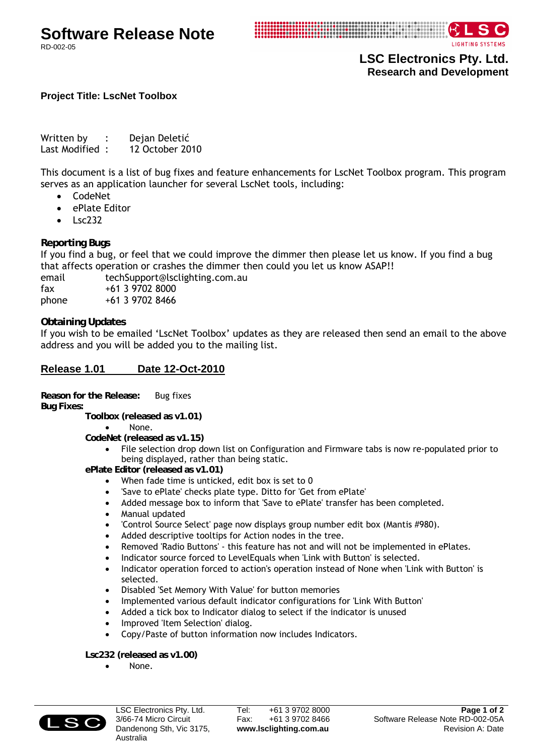LIGHTING SYSTEMS

**LSC Electronics Pty. Ltd. Research and Development** 

## **Project Title: LscNet Toolbox**

Written by : Dejan Deletić Last Modified: 12 October 2010

This document is a list of bug fixes and feature enhancements for LscNet Toolbox program. This program serves as an application launcher for several LscNet tools, including:

- CodeNet
- ePlate Editor
- Lsc232

**Reporting Bugs** 

If you find a bug, or feel that we could improve the dimmer then please let us know. If you find a bug that affects operation or crashes the dimmer then could you let us know ASAP!!

email techSupport@lsclighting.com.au fax +61 3 9702 8000 phone +61 3 9702 8466

**Obtaining Updates** 

If you wish to be emailed 'LscNet Toolbox' updates as they are released then send an email to the above address and you will be added you to the mailing list.

## **Release 1.01 Date 12-Oct-2010**

**Reason for the Release:** Bug fixes **Bug Fixes:** 

 **Toolbox (released as v1.01)**

- None.
- **CodeNet (released as v1.15)**

• File selection drop down list on Configuration and Firmware tabs is now re-populated prior to being displayed, rather than being static.

 **ePlate Editor (released as v1.01)**

- When fade time is unticked, edit box is set to 0
- 'Save to ePlate' checks plate type. Ditto for 'Get from ePlate'
- Added message box to inform that 'Save to ePlate' transfer has been completed.
- Manual updated
- 'Control Source Select' page now displays group number edit box (Mantis #980).
- Added descriptive tooltips for Action nodes in the tree.
- Removed 'Radio Buttons' this feature has not and will not be implemented in ePlates.
- Indicator source forced to LevelEquals when 'Link with Button' is selected.
- Indicator operation forced to action's operation instead of None when 'Link with Button' is selected.
- Disabled 'Set Memory With Value' for button memories
- Implemented various default indicator configurations for 'Link With Button'
- Added a tick box to Indicator dialog to select if the indicator is unused
- Improved 'Item Selection' dialog.
- Copy/Paste of button information now includes Indicators.

 **Lsc232 (released as v1.00)**

• None.